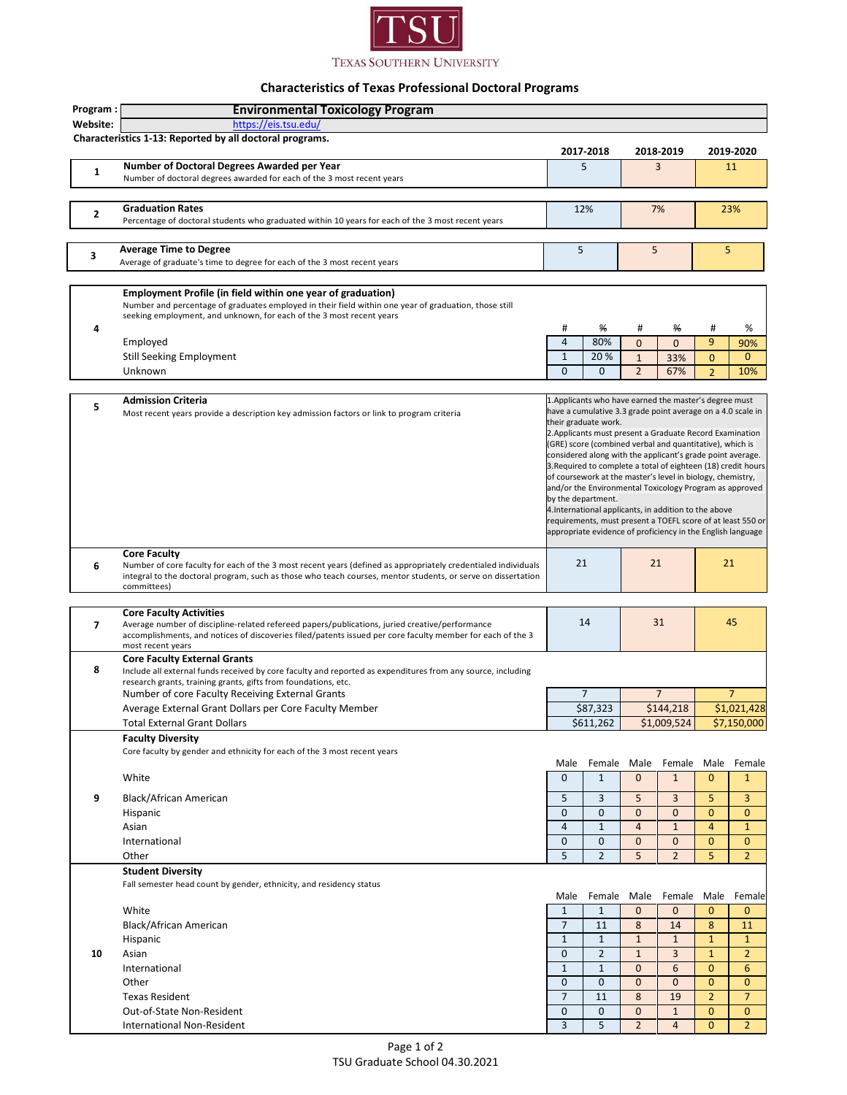

## **Characteristics of Texas Professional Doctoral Programs**

| Program:     | <b>Environmental Toxicology Program</b>                                                                                          |                                                                                                                            |                                                                                                                      |                |                |                                                                                                                             |                |  |
|--------------|----------------------------------------------------------------------------------------------------------------------------------|----------------------------------------------------------------------------------------------------------------------------|----------------------------------------------------------------------------------------------------------------------|----------------|----------------|-----------------------------------------------------------------------------------------------------------------------------|----------------|--|
| Website:     | https://eis.tsu.edu/                                                                                                             |                                                                                                                            |                                                                                                                      |                |                |                                                                                                                             |                |  |
|              | Characteristics 1-13: Reported by all doctoral programs.                                                                         |                                                                                                                            |                                                                                                                      |                |                |                                                                                                                             |                |  |
|              |                                                                                                                                  | 2017 2018                                                                                                                  |                                                                                                                      |                | 2018-2019      | 2019-2020                                                                                                                   |                |  |
|              | Number of Doctoral Degrees Awarded per Year                                                                                      | 5                                                                                                                          |                                                                                                                      |                | 3              |                                                                                                                             | 11             |  |
| $\mathbf{1}$ | Number of doctoral degrees awarded for each of the 3 most recent years                                                           |                                                                                                                            |                                                                                                                      |                |                |                                                                                                                             |                |  |
|              |                                                                                                                                  |                                                                                                                            |                                                                                                                      |                |                |                                                                                                                             |                |  |
|              | <b>Graduation Rates</b>                                                                                                          | 12%                                                                                                                        |                                                                                                                      |                |                |                                                                                                                             |                |  |
| 2            |                                                                                                                                  |                                                                                                                            |                                                                                                                      | 7%             |                | 23%                                                                                                                         |                |  |
|              | Percentage of doctoral students who graduated within 10 years for each of the 3 most recent years                                |                                                                                                                            |                                                                                                                      |                |                |                                                                                                                             |                |  |
|              |                                                                                                                                  |                                                                                                                            |                                                                                                                      |                |                |                                                                                                                             |                |  |
| 3            | <b>Average Time to Degree</b>                                                                                                    | 5                                                                                                                          |                                                                                                                      | 5              |                | 5                                                                                                                           |                |  |
|              | Average of graduate's time to degree for each of the 3 most recent years                                                         |                                                                                                                            |                                                                                                                      |                |                |                                                                                                                             |                |  |
|              |                                                                                                                                  |                                                                                                                            |                                                                                                                      |                |                |                                                                                                                             |                |  |
|              | Employment Profile (in field within one year of graduation)                                                                      |                                                                                                                            |                                                                                                                      |                |                |                                                                                                                             |                |  |
|              | Number and percentage of graduates employed in their field within one year of graduation, those still                            |                                                                                                                            |                                                                                                                      |                |                |                                                                                                                             |                |  |
|              | seeking employment, and unknown, for each of the 3 most recent years                                                             | #                                                                                                                          |                                                                                                                      |                |                |                                                                                                                             |                |  |
| 4            |                                                                                                                                  |                                                                                                                            | %                                                                                                                    | #              | ₩              | #                                                                                                                           | %              |  |
|              | Employed                                                                                                                         | $\overline{4}$                                                                                                             | 80%                                                                                                                  | $\mathbf{0}$   | $\overline{0}$ | 9                                                                                                                           | 90%            |  |
|              | <b>Still Seeking Employment</b>                                                                                                  | $\mathbf{1}$                                                                                                               | 20%                                                                                                                  | $\mathbf{1}$   | 33%            | 0                                                                                                                           | $\mathbf{0}$   |  |
|              | Unknown                                                                                                                          | $\mathbf{0}$                                                                                                               | $\mathbf{0}$                                                                                                         | $\overline{2}$ | 67%            | $\overline{2}$                                                                                                              | 10%            |  |
|              |                                                                                                                                  |                                                                                                                            |                                                                                                                      |                |                |                                                                                                                             |                |  |
|              | <b>Admission Criteria</b>                                                                                                        |                                                                                                                            | 1. Applicants who have earned the master's degree must                                                               |                |                |                                                                                                                             |                |  |
| 5            | Most recent years provide a description key admission factors or link to program criteria                                        |                                                                                                                            | have a cumulative 3.3 grade point average on a 4.0 scale in                                                          |                |                |                                                                                                                             |                |  |
|              |                                                                                                                                  |                                                                                                                            | their graduate work.                                                                                                 |                |                |                                                                                                                             |                |  |
|              |                                                                                                                                  |                                                                                                                            | 2. Applicants must present a Graduate Record Examination<br>(GRE) score (combined verbal and quantitative), which is |                |                |                                                                                                                             |                |  |
|              |                                                                                                                                  |                                                                                                                            |                                                                                                                      |                |                |                                                                                                                             |                |  |
|              |                                                                                                                                  |                                                                                                                            |                                                                                                                      |                |                | considered along with the applicant's grade point average.<br>3. Required to complete a total of eighteen (18) credit hours |                |  |
|              |                                                                                                                                  |                                                                                                                            | of coursework at the master's level in biology, chemistry,                                                           |                |                |                                                                                                                             |                |  |
|              |                                                                                                                                  | and/or the Environmental Toxicology Program as approved                                                                    |                                                                                                                      |                |                |                                                                                                                             |                |  |
|              |                                                                                                                                  | by the department.                                                                                                         |                                                                                                                      |                |                |                                                                                                                             |                |  |
|              |                                                                                                                                  |                                                                                                                            | 4. International applicants, in addition to the above                                                                |                |                |                                                                                                                             |                |  |
|              |                                                                                                                                  | requirements, must present a TOEFL score of at least 550 or<br>appropriate evidence of proficiency in the English language |                                                                                                                      |                |                |                                                                                                                             |                |  |
|              |                                                                                                                                  |                                                                                                                            |                                                                                                                      |                |                |                                                                                                                             |                |  |
|              | <b>Core Faculty</b>                                                                                                              |                                                                                                                            |                                                                                                                      |                |                |                                                                                                                             |                |  |
| 6            | Number of core faculty for each of the 3 most recent years (defined as appropriately credentialed individuals                    | 21                                                                                                                         |                                                                                                                      | 21             |                |                                                                                                                             | 21             |  |
|              | integral to the doctoral program, such as those who teach courses, mentor students, or serve on dissertation                     |                                                                                                                            |                                                                                                                      |                |                |                                                                                                                             |                |  |
|              | committees)                                                                                                                      |                                                                                                                            |                                                                                                                      |                |                |                                                                                                                             |                |  |
|              |                                                                                                                                  |                                                                                                                            |                                                                                                                      |                |                |                                                                                                                             |                |  |
| 7            | <b>Core Faculty Activities</b><br>Average number of discipline-related refereed papers/publications, juried creative/performance |                                                                                                                            | 14                                                                                                                   |                | 31             |                                                                                                                             | 45             |  |
|              | accomplishments, and notices of discoveries filed/patents issued per core faculty member for each of the 3                       |                                                                                                                            |                                                                                                                      |                |                |                                                                                                                             |                |  |
|              | most recent years                                                                                                                |                                                                                                                            |                                                                                                                      |                |                |                                                                                                                             |                |  |
|              | <b>Core Faculty External Grants</b>                                                                                              |                                                                                                                            |                                                                                                                      |                |                |                                                                                                                             |                |  |
| 8            | Include all external funds received by core faculty and reported as expenditures from any source, including                      |                                                                                                                            |                                                                                                                      |                |                |                                                                                                                             |                |  |
|              | research grants, training grants, gifts from foundations, etc.                                                                   |                                                                                                                            |                                                                                                                      |                |                |                                                                                                                             |                |  |
|              | Number of core Faculty Receiving External Grants                                                                                 |                                                                                                                            | $\overline{7}$                                                                                                       | $\overline{7}$ |                | $\overline{7}$                                                                                                              |                |  |
|              | Average External Grant Dollars per Core Faculty Member                                                                           |                                                                                                                            | \$87,323                                                                                                             | \$144,218      |                | \$1,021,428                                                                                                                 |                |  |
|              | <b>Total External Grant Dollars</b>                                                                                              |                                                                                                                            | \$611,262                                                                                                            |                | \$1,009,524    | \$7,150,000                                                                                                                 |                |  |
|              | <b>Faculty Diversity</b>                                                                                                         |                                                                                                                            |                                                                                                                      |                |                |                                                                                                                             |                |  |
|              | Core faculty by gender and ethnicity for each of the 3 most recent years                                                         |                                                                                                                            |                                                                                                                      |                |                |                                                                                                                             |                |  |
|              |                                                                                                                                  | Male                                                                                                                       | Female                                                                                                               | Male           | Female         | Male                                                                                                                        | Female         |  |
|              | White                                                                                                                            | $\mathbf{0}$                                                                                                               | $\mathbf{1}$                                                                                                         | $\mathbf 0$    | $\mathbf{1}$   | $\mathbf{0}$                                                                                                                | $\mathbf{1}$   |  |
|              |                                                                                                                                  |                                                                                                                            |                                                                                                                      |                |                |                                                                                                                             |                |  |
| 9            | Black/African American                                                                                                           | 5                                                                                                                          | 3                                                                                                                    | 5              | 3              | 5                                                                                                                           | 3              |  |
|              | Hispanic                                                                                                                         | $\mathbf 0$                                                                                                                | 0                                                                                                                    | $\mathbf 0$    | $\mathbf 0$    | $\mathbf{0}$                                                                                                                | $\mathbf{0}$   |  |
|              | Asian                                                                                                                            | $\overline{4}$                                                                                                             | $\mathbf{1}$                                                                                                         | $\overline{4}$ | $\mathbf{1}$   | $\overline{4}$                                                                                                              | $\mathbf{1}$   |  |
|              | International                                                                                                                    | $\mathbf 0$                                                                                                                | $\overline{0}$                                                                                                       | $\mathbf{0}$   | $\overline{0}$ | $\mathbf{0}$                                                                                                                | $\overline{0}$ |  |
|              | Other                                                                                                                            | 5                                                                                                                          | $\overline{2}$                                                                                                       | 5              | $\overline{2}$ | 5                                                                                                                           | $\overline{2}$ |  |
|              | <b>Student Diversity</b>                                                                                                         |                                                                                                                            |                                                                                                                      |                |                |                                                                                                                             |                |  |
|              | Fall semester head count by gender, ethnicity, and residency status                                                              |                                                                                                                            |                                                                                                                      |                |                |                                                                                                                             |                |  |
|              |                                                                                                                                  | Male                                                                                                                       | Female                                                                                                               | Male           | Female         | Male                                                                                                                        | Female         |  |
|              |                                                                                                                                  | $\mathbf{1}$                                                                                                               |                                                                                                                      |                |                | $\mathbf{0}$                                                                                                                |                |  |
|              | White                                                                                                                            |                                                                                                                            | $\mathbf{1}$                                                                                                         | $\mathbf 0$    | $\mathbf{0}$   |                                                                                                                             | $\mathbf{0}$   |  |
|              | Black/African American                                                                                                           | $\overline{7}$                                                                                                             | 11                                                                                                                   | 8              | 14             | 8                                                                                                                           | 11             |  |
|              | Hispanic                                                                                                                         | $\mathbf 1$                                                                                                                | $\mathbf{1}$                                                                                                         | $\mathbf{1}$   | $\mathbf{1}$   | $\mathbf{1}$                                                                                                                | $\mathbf{1}$   |  |
| 10           | Asian                                                                                                                            | $\mathbf 0$                                                                                                                | $\overline{2}$                                                                                                       | $\mathbf 1$    | 3              | $\mathbf{1}$                                                                                                                | $\overline{2}$ |  |
|              | International                                                                                                                    | $\mathbf{1}$                                                                                                               | $\mathbf{1}$                                                                                                         | $\mathbf{0}$   | 6              | $\mathbf{0}$                                                                                                                | 6              |  |
|              | Other                                                                                                                            | $\mathbf 0$                                                                                                                | $\overline{0}$                                                                                                       | $\overline{0}$ | $\overline{0}$ | $\mathbf{0}$                                                                                                                | $\overline{0}$ |  |
|              | <b>Texas Resident</b>                                                                                                            | $\overline{7}$                                                                                                             | 11                                                                                                                   | 8              | 19             | $\overline{2}$                                                                                                              | $\overline{7}$ |  |
|              | Out-of-State Non-Resident                                                                                                        | $\mathbf 0$                                                                                                                | $\mathbf 0$                                                                                                          | $\mathbf 0$    | $\mathbf{1}$   | $\mathbf{0}$                                                                                                                | $\mathbf{0}$   |  |
|              |                                                                                                                                  |                                                                                                                            |                                                                                                                      |                | $\overline{4}$ |                                                                                                                             | $\overline{2}$ |  |
|              | International Non-Resident                                                                                                       | 3                                                                                                                          | 5                                                                                                                    | $\overline{2}$ |                | $\mathbf{0}$                                                                                                                |                |  |